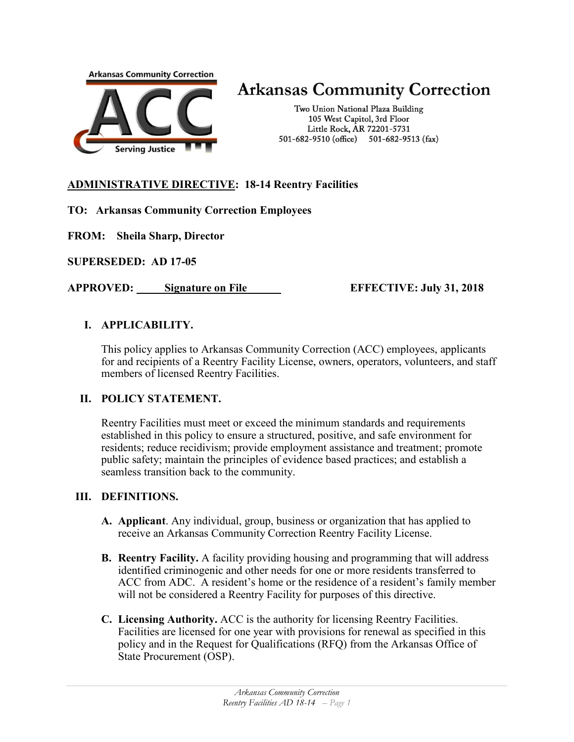

# **Arkansas Community Correction**

Two Union National Plaza Building 105 West Capitol, 3rd Floor Little Rock, AR 72201-5731 501-682-9510 (office) 501-682-9513 (fax)

## **ADMINISTRATIVE DIRECTIVE: 18-14 Reentry Facilities**

## **TO: Arkansas Community Correction Employees**

**FROM: Sheila Sharp, Director**

**SUPERSEDED: AD 17-05**

**APPROVED: Signature on File EFFECTIVE: July 31, 2018**

## **I. APPLICABILITY.**

This policy applies to Arkansas Community Correction (ACC) employees, applicants for and recipients of a Reentry Facility License, owners, operators, volunteers, and staff members of licensed Reentry Facilities.

## **II. POLICY STATEMENT.**

Reentry Facilities must meet or exceed the minimum standards and requirements established in this policy to ensure a structured, positive, and safe environment for residents; reduce recidivism; provide employment assistance and treatment; promote public safety; maintain the principles of evidence based practices; and establish a seamless transition back to the community.

## **III. DEFINITIONS.**

- **A. Applicant**. Any individual, group, business or organization that has applied to receive an Arkansas Community Correction Reentry Facility License.
- **B. Reentry Facility.** A facility providing housing and programming that will address identified criminogenic and other needs for one or more residents transferred to ACC from ADC. A resident's home or the residence of a resident's family member will not be considered a Reentry Facility for purposes of this directive.
- **C. Licensing Authority.** ACC is the authority for licensing Reentry Facilities. Facilities are licensed for one year with provisions for renewal as specified in this policy and in the Request for Qualifications (RFQ) from the Arkansas Office of State Procurement (OSP).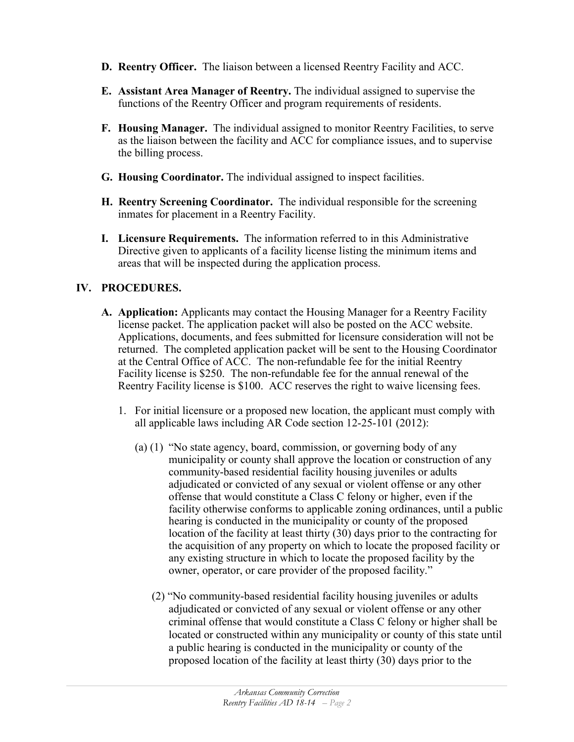- **D. Reentry Officer.** The liaison between a licensed Reentry Facility and ACC.
- **E. Assistant Area Manager of Reentry.** The individual assigned to supervise the functions of the Reentry Officer and program requirements of residents.
- **F. Housing Manager.** The individual assigned to monitor Reentry Facilities, to serve as the liaison between the facility and ACC for compliance issues, and to supervise the billing process.
- **G. Housing Coordinator.** The individual assigned to inspect facilities.
- **H. Reentry Screening Coordinator.** The individual responsible for the screening inmates for placement in a Reentry Facility.
- **I. Licensure Requirements.** The information referred to in this Administrative Directive given to applicants of a facility license listing the minimum items and areas that will be inspected during the application process.

# **IV. PROCEDURES.**

- **A. Application:** Applicants may contact the Housing Manager for a Reentry Facility license packet. The application packet will also be posted on the ACC website. Applications, documents, and fees submitted for licensure consideration will not be returned. The completed application packet will be sent to the Housing Coordinator at the Central Office of ACC. The non-refundable fee for the initial Reentry Facility license is \$250. The non-refundable fee for the annual renewal of the Reentry Facility license is \$100. ACC reserves the right to waive licensing fees.
	- 1. For initial licensure or a proposed new location, the applicant must comply with all applicable laws including AR Code section [12-25-101 \(2012\):](http://law.justia.com/citations.html)
		- (a) (1) "No state agency, board, commission, or governing body of any municipality or county shall approve the location or construction of any community-based residential facility housing juveniles or adults adjudicated or convicted of any sexual or violent offense or any other offense that would constitute a Class C felony or higher, even if the facility otherwise conforms to applicable zoning ordinances, until a public hearing is conducted in the municipality or county of the proposed location of the facility at least thirty (30) days prior to the contracting for the acquisition of any property on which to locate the proposed facility or any existing structure in which to locate the proposed facility by the owner, operator, or care provider of the proposed facility."
			- (2) "No community-based residential facility housing juveniles or adults adjudicated or convicted of any sexual or violent offense or any other criminal offense that would constitute a Class C felony or higher shall be located or constructed within any municipality or county of this state until a public hearing is conducted in the municipality or county of the proposed location of the facility at least thirty (30) days prior to the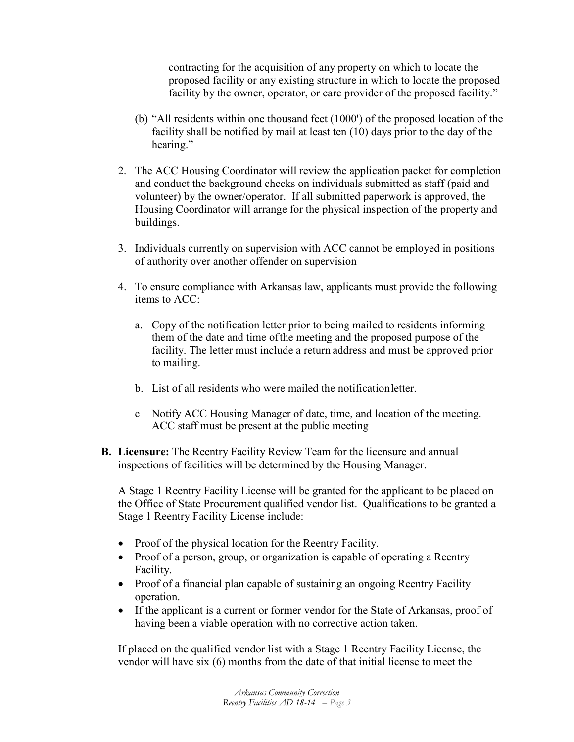contracting for the acquisition of any property on which to locate the proposed facility or any existing structure in which to locate the proposed facility by the owner, operator, or care provider of the proposed facility."

- (b) "All residents within one thousand feet (1000') of the proposed location of the facility shall be notified by mail at least ten (10) days prior to the day of the hearing."
- 2. The ACC Housing Coordinator will review the application packet for completion and conduct the background checks on individuals submitted as staff (paid and volunteer) by the owner/operator. If all submitted paperwork is approved, the Housing Coordinator will arrange for the physical inspection of the property and buildings.
- 3. Individuals currently on supervision with ACC cannot be employed in positions of authority over another offender on supervision
- 4. To ensure compliance with Arkansas law, applicants must provide the following items to ACC:
	- a. Copy of the notification letter prior to being mailed to residents informing them of the date and time ofthe meeting and the proposed purpose of the facility. The letter must include a return address and must be approved prior to mailing.
	- b. List of all residents who were mailed the notificationletter.
	- c Notify ACC Housing Manager of date, time, and location of the meeting. ACC staff must be present at the public meeting
- **B. Licensure:** The Reentry Facility Review Team for the licensure and annual inspections of facilities will be determined by the Housing Manager.

A Stage 1 Reentry Facility License will be granted for the applicant to be placed on the Office of State Procurement qualified vendor list. Qualifications to be granted a Stage 1 Reentry Facility License include:

- Proof of the physical location for the Reentry Facility.
- Proof of a person, group, or organization is capable of operating a Reentry Facility.
- Proof of a financial plan capable of sustaining an ongoing Reentry Facility operation.
- If the applicant is a current or former vendor for the State of Arkansas, proof of having been a viable operation with no corrective action taken.

If placed on the qualified vendor list with a Stage 1 Reentry Facility License, the vendor will have six (6) months from the date of that initial license to meet the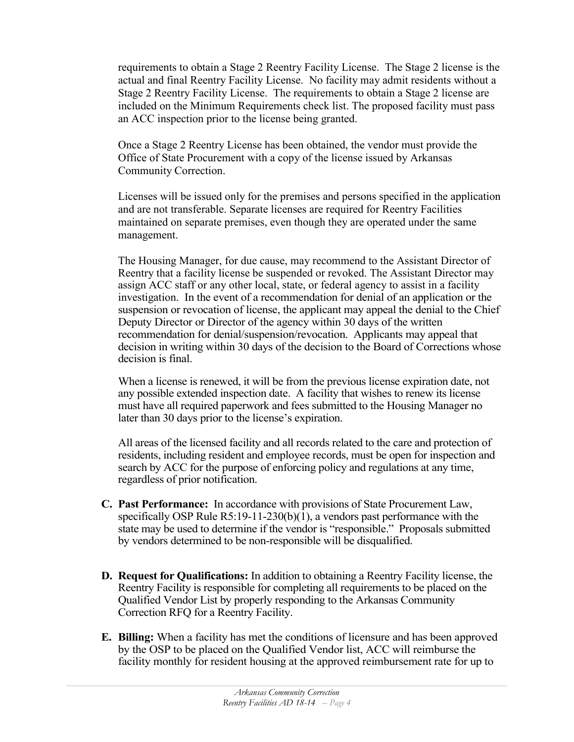requirements to obtain a Stage 2 Reentry Facility License. The Stage 2 license is the actual and final Reentry Facility License. No facility may admit residents without a Stage 2 Reentry Facility License. The requirements to obtain a Stage 2 license are included on the Minimum Requirements check list. The proposed facility must pass an ACC inspection prior to the license being granted.

Once a Stage 2 Reentry License has been obtained, the vendor must provide the Office of State Procurement with a copy of the license issued by Arkansas Community Correction.

Licenses will be issued only for the premises and persons specified in the application and are not transferable. Separate licenses are required for Reentry Facilities maintained on separate premises, even though they are operated under the same management.

The Housing Manager, for due cause, may recommend to the Assistant Director of Reentry that a facility license be suspended or revoked. The Assistant Director may assign ACC staff or any other local, state, or federal agency to assist in a facility investigation. In the event of a recommendation for denial of an application or the suspension or revocation of license, the applicant may appeal the denial to the Chief Deputy Director or Director of the agency within 30 days of the written recommendation for denial/suspension/revocation. Applicants may appeal that decision in writing within 30 days of the decision to the Board of Corrections whose decision is final.

When a license is renewed, it will be from the previous license expiration date, not any possible extended inspection date. A facility that wishes to renew its license must have all required paperwork and fees submitted to the Housing Manager no later than 30 days prior to the license's expiration.

All areas of the licensed facility and all records related to the care and protection of residents, including resident and employee records, must be open for inspection and search by ACC for the purpose of enforcing policy and regulations at any time, regardless of prior notification.

- **C. Past Performance:** In accordance with provisions of State Procurement Law, specifically OSP Rule R5:19-11-230(b)(1), a vendors past performance with the state may be used to determine if the vendor is "responsible." Proposals submitted by vendors determined to be non-responsible will be disqualified.
- **D. Request for Qualifications:** In addition to obtaining a Reentry Facility license, the Reentry Facility is responsible for completing all requirements to be placed on the Qualified Vendor List by properly responding to the Arkansas Community Correction RFQ for a Reentry Facility.
- **E. Billing:** When a facility has met the conditions of licensure and has been approved by the OSP to be placed on the Qualified Vendor list, ACC will reimburse the facility monthly for resident housing at the approved reimbursement rate for up to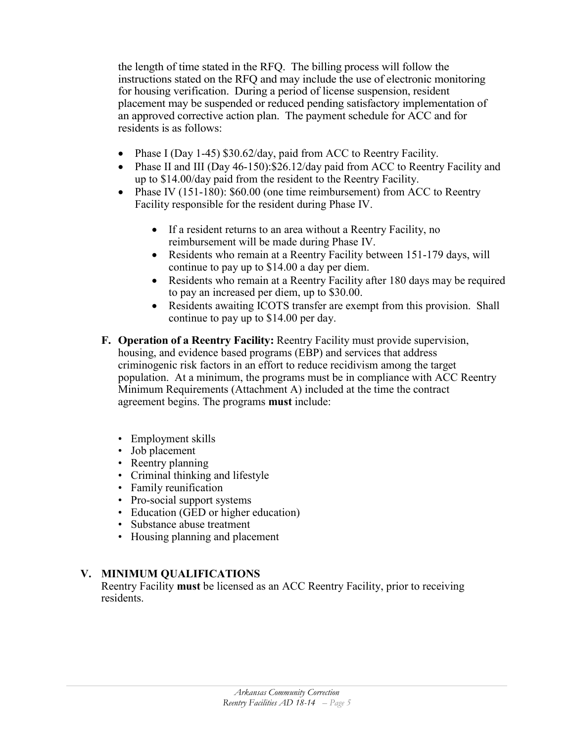the length of time stated in the RFQ. The billing process will follow the instructions stated on the RFQ and may include the use of electronic monitoring for housing verification. During a period of license suspension, resident placement may be suspended or reduced pending satisfactory implementation of an approved corrective action plan. The payment schedule for ACC and for residents is as follows:

- Phase I (Day 1-45) \$30.62/day, paid from ACC to Reentry Facility.
- Phase II and III (Day 46-150): \$26.12/day paid from ACC to Reentry Facility and up to \$14.00/day paid from the resident to the Reentry Facility.
- Phase IV (151-180): \$60.00 (one time reimbursement) from ACC to Reentry Facility responsible for the resident during Phase IV.
	- If a resident returns to an area without a Reentry Facility, no reimbursement will be made during Phase IV.
	- Residents who remain at a Reentry Facility between 151-179 days, will continue to pay up to \$14.00 a day per diem.
	- Residents who remain at a Reentry Facility after 180 days may be required to pay an increased per diem, up to \$30.00.
	- Residents awaiting ICOTS transfer are exempt from this provision. Shall continue to pay up to \$14.00 per day.
- **F. Operation of a Reentry Facility:** Reentry Facility must provide supervision, housing, and evidence based programs (EBP) and services that address criminogenic risk factors in an effort to reduce recidivism among the target population. At a minimum, the programs must be in compliance with ACC Reentry Minimum Requirements (Attachment A) included at the time the contract agreement begins. The programs **must** include:
	- Employment skills
	- Job placement
	- Reentry planning
	- Criminal thinking and lifestyle
	- Family reunification
	- Pro-social support systems
	- Education (GED or higher education)
	- Substance abuse treatment
	- Housing planning and placement

## **V. MINIMUM QUALIFICATIONS**

Reentry Facility **must** be licensed as an ACC Reentry Facility, prior to receiving residents.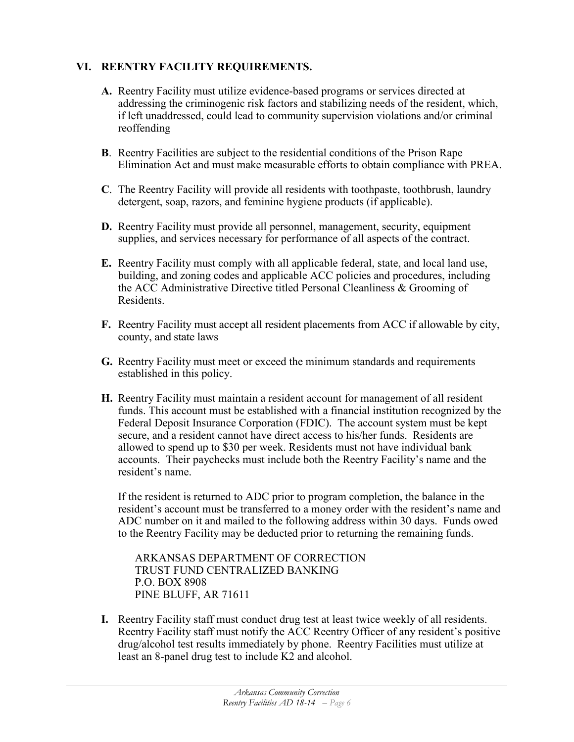## **VI. REENTRY FACILITY REQUIREMENTS.**

- **A.** Reentry Facility must utilize evidence-based programs or services directed at addressing the criminogenic risk factors and stabilizing needs of the resident, which, if left unaddressed, could lead to community supervision violations and/or criminal reoffending
- **B**. Reentry Facilities are subject to the residential conditions of the Prison Rape Elimination Act and must make measurable efforts to obtain compliance with PREA.
- **C**. The Reentry Facility will provide all residents with toothpaste, toothbrush, laundry detergent, soap, razors, and feminine hygiene products (if applicable).
- **D.** Reentry Facility must provide all personnel, management, security, equipment supplies, and services necessary for performance of all aspects of the contract.
- **E.** Reentry Facility must comply with all applicable federal, state, and local land use, building, and zoning codes and applicable ACC policies and procedures, including the ACC Administrative Directive titled Personal Cleanliness & Grooming of Residents.
- **F.** Reentry Facility must accept all resident placements from ACC if allowable by city, county, and state laws
- **G.** Reentry Facility must meet or exceed the minimum standards and requirements established in this policy.
- **H.** Reentry Facility must maintain a resident account for management of all resident funds. This account must be established with a financial institution recognized by the Federal Deposit Insurance Corporation (FDIC). The account system must be kept secure, and a resident cannot have direct access to his/her funds. Residents are allowed to spend up to \$30 per week. Residents must not have individual bank accounts. Their paychecks must include both the Reentry Facility's name and the resident's name.

If the resident is returned to ADC prior to program completion, the balance in the resident's account must be transferred to a money order with the resident's name and ADC number on it and mailed to the following address within 30 days. Funds owed to the Reentry Facility may be deducted prior to returning the remaining funds.

ARKANSAS DEPARTMENT OF CORRECTION TRUST FUND CENTRALIZED BANKING P.O. BOX 8908 PINE BLUFF, AR 71611

**I.** Reentry Facility staff must conduct drug test at least twice weekly of all residents. Reentry Facility staff must notify the ACC Reentry Officer of any resident's positive drug/alcohol test results immediately by phone. Reentry Facilities must utilize at least an 8-panel drug test to include K2 and alcohol.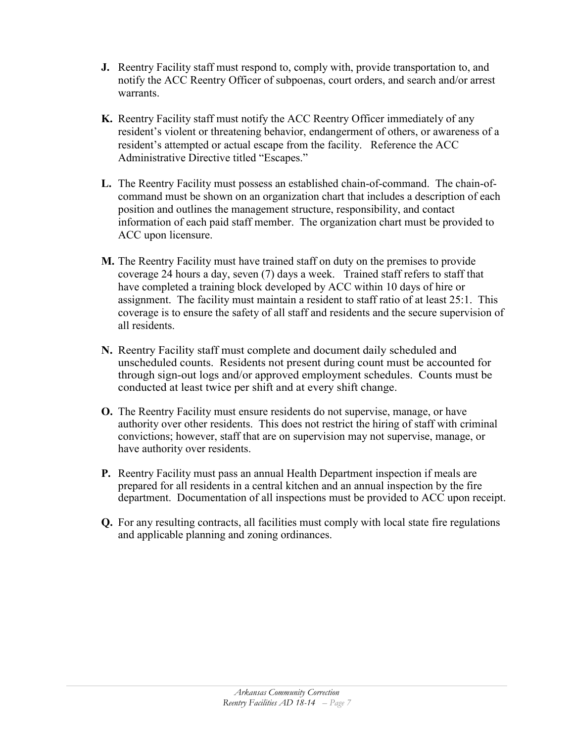- **J.** Reentry Facility staff must respond to, comply with, provide transportation to, and notify the ACC Reentry Officer of subpoenas, court orders, and search and/or arrest warrants.
- **K.** Reentry Facility staff must notify the ACC Reentry Officer immediately of any resident's violent or threatening behavior, endangerment of others, or awareness of a resident's attempted or actual escape from the facility. Reference the ACC Administrative Directive titled "Escapes."
- **L.** The Reentry Facility must possess an established chain-of-command. The chain-ofcommand must be shown on an organization chart that includes a description of each position and outlines the management structure, responsibility, and contact information of each paid staff member. The organization chart must be provided to ACC upon licensure.
- **M.** The Reentry Facility must have trained staff on duty on the premises to provide coverage 24 hours a day, seven (7) days a week. Trained staff refers to staff that have completed a training block developed by ACC within 10 days of hire or assignment. The facility must maintain a resident to staff ratio of at least 25:1. This coverage is to ensure the safety of all staff and residents and the secure supervision of all residents.
- **N.** Reentry Facility staff must complete and document daily scheduled and unscheduled counts. Residents not present during count must be accounted for through sign-out logs and/or approved employment schedules. Counts must be conducted at least twice per shift and at every shift change.
- **O.** The Reentry Facility must ensure residents do not supervise, manage, or have authority over other residents. This does not restrict the hiring of staff with criminal convictions; however, staff that are on supervision may not supervise, manage, or have authority over residents.
- **P.** Reentry Facility must pass an annual Health Department inspection if meals are prepared for all residents in a central kitchen and an annual inspection by the fire department. Documentation of all inspections must be provided to ACC upon receipt.
- **Q.** For any resulting contracts, all facilities must comply with local state fire regulations and applicable planning and zoning ordinances.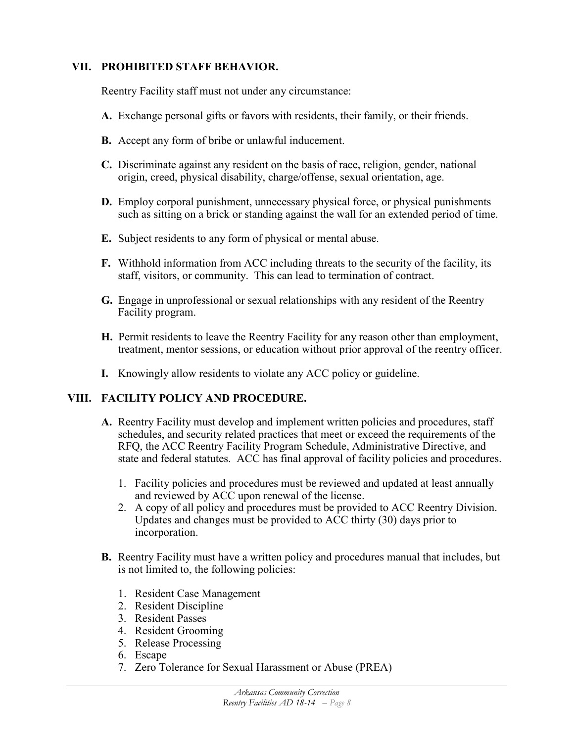## **VII. PROHIBITED STAFF BEHAVIOR.**

Reentry Facility staff must not under any circumstance:

- **A.** Exchange personal gifts or favors with residents, their family, or their friends.
- **B.** Accept any form of bribe or unlawful inducement.
- **C.** Discriminate against any resident on the basis of race, religion, gender, national origin, creed, physical disability, charge/offense, sexual orientation, age.
- **D.** Employ corporal punishment, unnecessary physical force, or physical punishments such as sitting on a brick or standing against the wall for an extended period of time.
- **E.** Subject residents to any form of physical or mental abuse.
- **F.** Withhold information from ACC including threats to the security of the facility, its staff, visitors, or community. This can lead to termination of contract.
- **G.** Engage in unprofessional or sexual relationships with any resident of the Reentry Facility program.
- **H.** Permit residents to leave the Reentry Facility for any reason other than employment, treatment, mentor sessions, or education without prior approval of the reentry officer.
- **I.** Knowingly allow residents to violate any ACC policy or guideline.

## **VIII. FACILITY POLICY AND PROCEDURE.**

- **A.** Reentry Facility must develop and implement written policies and procedures, staff schedules, and security related practices that meet or exceed the requirements of the RFQ, the ACC Reentry Facility Program Schedule, Administrative Directive, and state and federal statutes. ACC has final approval of facility policies and procedures.
	- 1. Facility policies and procedures must be reviewed and updated at least annually and reviewed by ACC upon renewal of the license.
	- 2. A copy of all policy and procedures must be provided to ACC Reentry Division. Updates and changes must be provided to ACC thirty (30) days prior to incorporation.
- **B.** Reentry Facility must have a written policy and procedures manual that includes, but is not limited to, the following policies:
	- 1. Resident Case Management
	- 2. Resident Discipline
	- 3. Resident Passes
	- 4. Resident Grooming
	- 5. Release Processing
	- 6. Escape
	- 7. Zero Tolerance for Sexual Harassment or Abuse (PREA)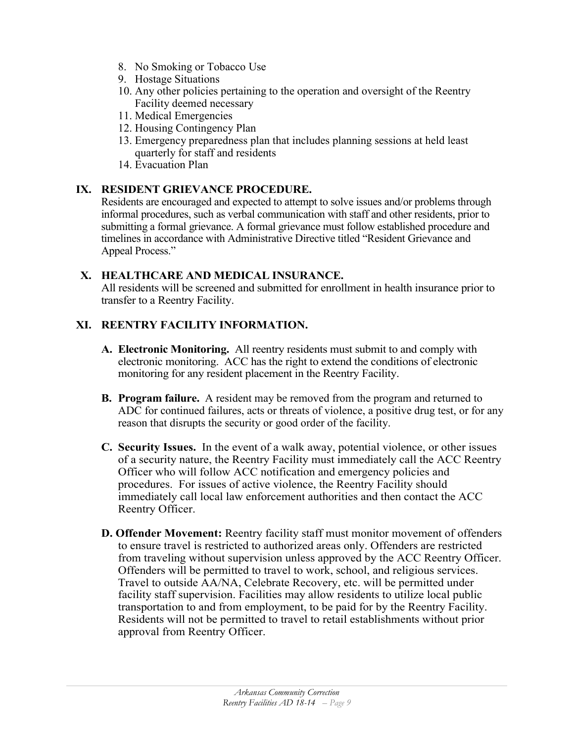- 8. No Smoking or Tobacco Use
- 9. Hostage Situations
- 10. Any other policies pertaining to the operation and oversight of the Reentry Facility deemed necessary
- 11. Medical Emergencies
- 12. Housing Contingency Plan
- 13. Emergency preparedness plan that includes planning sessions at held least quarterly for staff and residents
- 14. Evacuation Plan

# **IX. RESIDENT GRIEVANCE PROCEDURE.**

Residents are encouraged and expected to attempt to solve issues and/or problems through informal procedures, such as verbal communication with staff and other residents, prior to submitting a formal grievance. A formal grievance must follow established procedure and timelines in accordance with Administrative Directive titled "Resident Grievance and Appeal Process."

## **X. HEALTHCARE AND MEDICAL INSURANCE.**

All residents will be screened and submitted for enrollment in health insurance prior to transfer to a Reentry Facility.

# **XI. REENTRY FACILITY INFORMATION.**

- **A. Electronic Monitoring.** All reentry residents must submit to and comply with electronic monitoring. ACC has the right to extend the conditions of electronic monitoring for any resident placement in the Reentry Facility.
- **B. Program failure.** A resident may be removed from the program and returned to ADC for continued failures, acts or threats of violence, a positive drug test, or for any reason that disrupts the security or good order of the facility.
- **C. Security Issues.** In the event of a walk away, potential violence, or other issues of a security nature, the Reentry Facility must immediately call the ACC Reentry Officer who will follow ACC notification and emergency policies and procedures. For issues of active violence, the Reentry Facility should immediately call local law enforcement authorities and then contact the ACC Reentry Officer.
- **D. Offender Movement:** Reentry facility staff must monitor movement of offenders to ensure travel is restricted to authorized areas only. Offenders are restricted from traveling without supervision unless approved by the ACC Reentry Officer. Offenders will be permitted to travel to work, school, and religious services. Travel to outside AA/NA, Celebrate Recovery, etc. will be permitted under facility staff supervision. Facilities may allow residents to utilize local public transportation to and from employment, to be paid for by the Reentry Facility. Residents will not be permitted to travel to retail establishments without prior approval from Reentry Officer.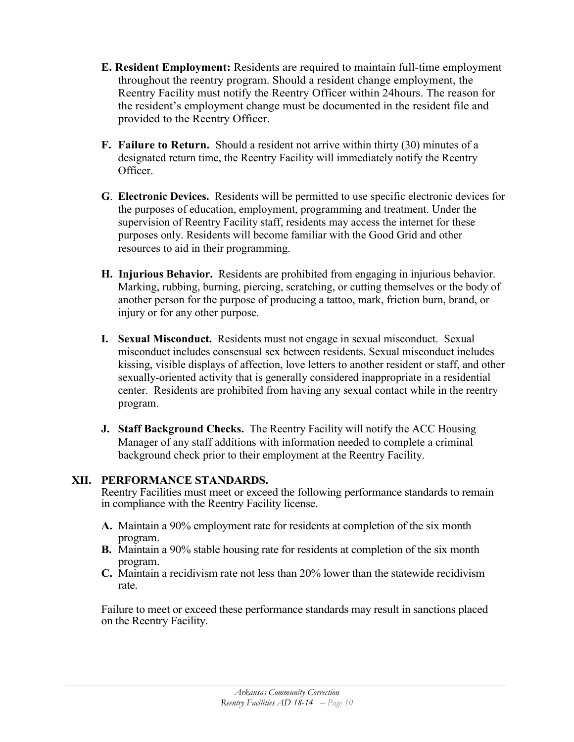- **E. Resident Employment:** Residents are required to maintain full-time employment throughout the reentry program. Should a resident change employment, the Reentry Facility must notify the Reentry Officer within 24hours. The reason for the resident's employment change must be documented in the resident file and provided to the Reentry Officer.
- **F. Failure to Return.** Should a resident not arrive within thirty (30) minutes of a designated return time, the Reentry Facility will immediately notify the Reentry Officer.
- **G**. **Electronic Devices.** Residents will be permitted to use specific electronic devices for the purposes of education, employment, programming and treatment. Under the supervision of Reentry Facility staff, residents may access the internet for these purposes only. Residents will become familiar with the Good Grid and other resources to aid in their programming.
- **H. Injurious Behavior.** Residents are prohibited from engaging in injurious behavior. Marking, rubbing, burning, piercing, scratching, or cutting themselves or the body of another person for the purpose of producing a tattoo, mark, friction burn, brand, or injury or for any other purpose.
- **I. Sexual Misconduct.** Residents must not engage in sexual misconduct. Sexual misconduct includes consensual sex between residents. Sexual misconduct includes kissing, visible displays of affection, love letters to another resident or staff, and other sexually-oriented activity that is generally considered inappropriate in a residential center. Residents are prohibited from having any sexual contact while in the reentry program.
- **J. Staff Background Checks.** The Reentry Facility will notify the ACC Housing Manager of any staff additions with information needed to complete a criminal background check prior to their employment at the Reentry Facility.

## **XII. PERFORMANCE STANDARDS.**

Reentry Facilities must meet or exceed the following performance standards to remain in compliance with the Reentry Facility license.

- **A.** Maintain a 90% employment rate for residents at completion of the six month program.
- **B.** Maintain a 90% stable housing rate for residents at completion of the six month program.
- **C.** Maintain a recidivism rate not less than 20% lower than the statewide recidivism rate.

Failure to meet or exceed these performance standards may result in sanctions placed on the Reentry Facility.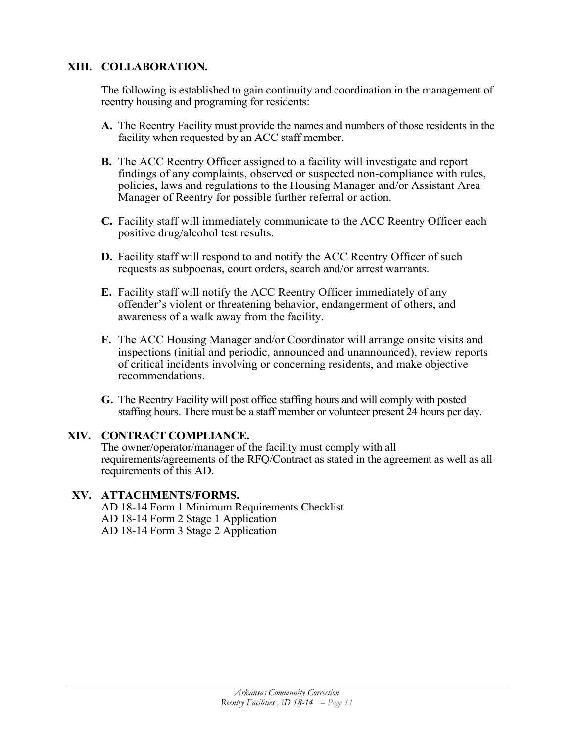## **XIII. COLLABORATION.**

The following is established to gain continuity and coordination in the management of reentry housing and programing for residents:

- **A.** The Reentry Facility must provide the names and numbers of those residents in the facility when requested by an ACC staff member.
- **B.** The ACC Reentry Officer assigned to a facility will investigate and report findings of any complaints, observed or suspected non-compliance with rules, policies, laws and regulations to the Housing Manager and/or Assistant Area Manager of Reentry for possible further referral or action.
- **C.** Facility staff will immediately communicate to the ACC Reentry Officer each positive drug/alcohol test results.
- **D.** Facility staff will respond to and notify the ACC Reentry Officer of such requests as subpoenas, court orders, search and/or arrest warrants.
- **E.** Facility staff will notify the ACC Reentry Officer immediately of any offender's violent or threatening behavior, endangerment of others, and awareness of a walk away from the facility.
- **F.** The ACC Housing Manager and/or Coordinator will arrange onsite visits and inspections (initial and periodic, announced and unannounced), review reports of critical incidents involving or concerning residents, and make objective recommendations.
- **G.** The Reentry Facility will post office staffing hours and will comply with posted staffing hours. There must be a staff member or volunteer present 24 hours per day.

## **XIV. CONTRACT COMPLIANCE.**

The owner/operator/manager of the facility must comply with all requirements/agreements of the RFQ/Contract as stated in the agreement as well as all requirements of this AD.

#### **XV. ATTACHMENTS/FORMS.**

AD 18-14 Form 1 Minimum Requirements Checklist AD 18-14 Form 2 Stage 1 Application AD 18-14 Form 3 Stage 2 Application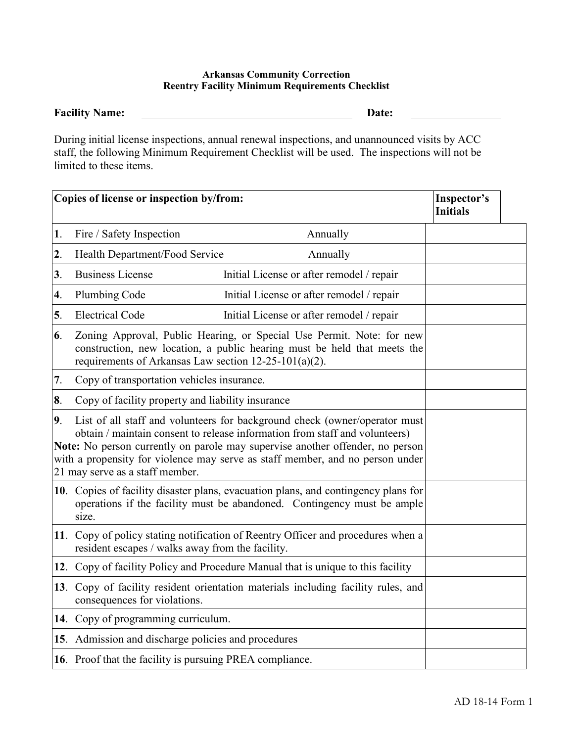#### **Arkansas Community Correction Reentry Facility Minimum Requirements Checklist**

#### **Facility Name: Date:**

During initial license inspections, annual renewal inspections, and unannounced visits by ACC staff, the following Minimum Requirement Checklist will be used. The inspections will not be limited to these items.

|                | Copies of license or inspection by/from:                                                                                                                                                                                                                                                                                                                       | Inspector's<br><b>Initials</b>                                                    |  |  |
|----------------|----------------------------------------------------------------------------------------------------------------------------------------------------------------------------------------------------------------------------------------------------------------------------------------------------------------------------------------------------------------|-----------------------------------------------------------------------------------|--|--|
| 1.             | Fire / Safety Inspection                                                                                                                                                                                                                                                                                                                                       | Annually                                                                          |  |  |
| 2.             | Health Department/Food Service                                                                                                                                                                                                                                                                                                                                 | Annually                                                                          |  |  |
| 3 <sub>1</sub> | <b>Business License</b>                                                                                                                                                                                                                                                                                                                                        | Initial License or after remodel / repair                                         |  |  |
| 4.             | Plumbing Code                                                                                                                                                                                                                                                                                                                                                  | Initial License or after remodel / repair                                         |  |  |
| 5.             | <b>Electrical Code</b>                                                                                                                                                                                                                                                                                                                                         | Initial License or after remodel / repair                                         |  |  |
| 6.             | Zoning Approval, Public Hearing, or Special Use Permit. Note: for new<br>construction, new location, a public hearing must be held that meets the<br>requirements of Arkansas Law section $12-25-101(a)(2)$ .                                                                                                                                                  |                                                                                   |  |  |
| 7.             | Copy of transportation vehicles insurance.                                                                                                                                                                                                                                                                                                                     |                                                                                   |  |  |
| 8.             | Copy of facility property and liability insurance                                                                                                                                                                                                                                                                                                              |                                                                                   |  |  |
| 9 <sub>1</sub> | List of all staff and volunteers for background check (owner/operator must<br>obtain / maintain consent to release information from staff and volunteers)<br>Note: No person currently on parole may supervise another offender, no person<br>with a propensity for violence may serve as staff member, and no person under<br>21 may serve as a staff member. |                                                                                   |  |  |
|                | 10. Copies of facility disaster plans, evacuation plans, and contingency plans for<br>operations if the facility must be abandoned. Contingency must be ample<br>size.                                                                                                                                                                                         |                                                                                   |  |  |
|                | resident escapes / walks away from the facility.                                                                                                                                                                                                                                                                                                               | 11. Copy of policy stating notification of Reentry Officer and procedures when a  |  |  |
|                |                                                                                                                                                                                                                                                                                                                                                                | 12. Copy of facility Policy and Procedure Manual that is unique to this facility  |  |  |
|                | consequences for violations.                                                                                                                                                                                                                                                                                                                                   | 13. Copy of facility resident orientation materials including facility rules, and |  |  |
|                | 14. Copy of programming curriculum.                                                                                                                                                                                                                                                                                                                            |                                                                                   |  |  |
|                | 15. Admission and discharge policies and procedures                                                                                                                                                                                                                                                                                                            |                                                                                   |  |  |
|                | 16. Proof that the facility is pursuing PREA compliance.                                                                                                                                                                                                                                                                                                       |                                                                                   |  |  |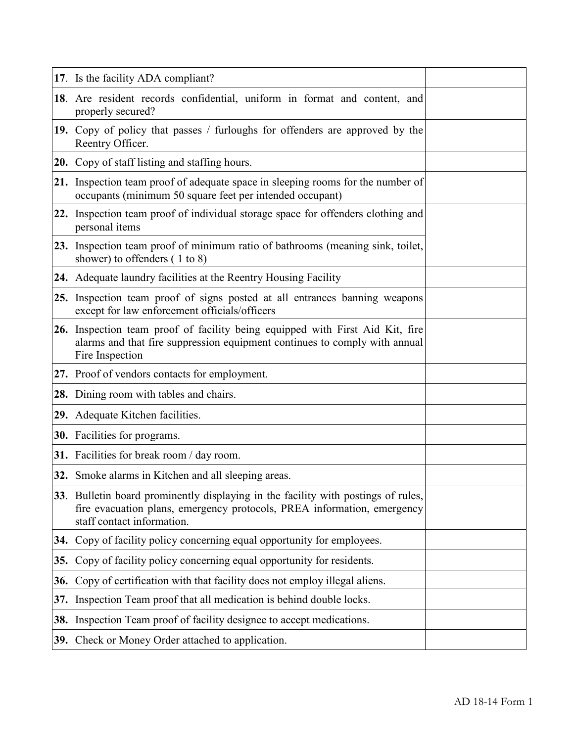|     | 17. Is the facility ADA compliant?                                                                                                                                                         |  |
|-----|--------------------------------------------------------------------------------------------------------------------------------------------------------------------------------------------|--|
|     | 18. Are resident records confidential, uniform in format and content, and<br>properly secured?                                                                                             |  |
|     | 19. Copy of policy that passes / furloughs for offenders are approved by the<br>Reentry Officer.                                                                                           |  |
|     | <b>20.</b> Copy of staff listing and staffing hours.                                                                                                                                       |  |
|     | 21. Inspection team proof of adequate space in sleeping rooms for the number of<br>occupants (minimum 50 square feet per intended occupant)                                                |  |
|     | 22. Inspection team proof of individual storage space for offenders clothing and<br>personal items                                                                                         |  |
|     | 23. Inspection team proof of minimum ratio of bathrooms (meaning sink, toilet,<br>shower) to offenders $(1 to 8)$                                                                          |  |
|     | <b>24.</b> Adequate laundry facilities at the Reentry Housing Facility                                                                                                                     |  |
|     | 25. Inspection team proof of signs posted at all entrances banning weapons<br>except for law enforcement officials/officers                                                                |  |
|     | 26. Inspection team proof of facility being equipped with First Aid Kit, fire<br>alarms and that fire suppression equipment continues to comply with annual<br>Fire Inspection             |  |
|     | 27. Proof of vendors contacts for employment.                                                                                                                                              |  |
|     | 28. Dining room with tables and chairs.                                                                                                                                                    |  |
|     | 29. Adequate Kitchen facilities.                                                                                                                                                           |  |
|     | <b>30.</b> Facilities for programs.                                                                                                                                                        |  |
|     | 31. Facilities for break room / day room.                                                                                                                                                  |  |
|     | 32. Smoke alarms in Kitchen and all sleeping areas.                                                                                                                                        |  |
|     | 33. Bulletin board prominently displaying in the facility with postings of rules,<br>fire evacuation plans, emergency protocols, PREA information, emergency<br>staff contact information. |  |
|     | 34. Copy of facility policy concerning equal opportunity for employees.                                                                                                                    |  |
| 35. | Copy of facility policy concerning equal opportunity for residents.                                                                                                                        |  |
|     | 36. Copy of certification with that facility does not employ illegal aliens.                                                                                                               |  |
|     | 37. Inspection Team proof that all medication is behind double locks.                                                                                                                      |  |
|     | 38. Inspection Team proof of facility designee to accept medications.                                                                                                                      |  |
|     | 39. Check or Money Order attached to application.                                                                                                                                          |  |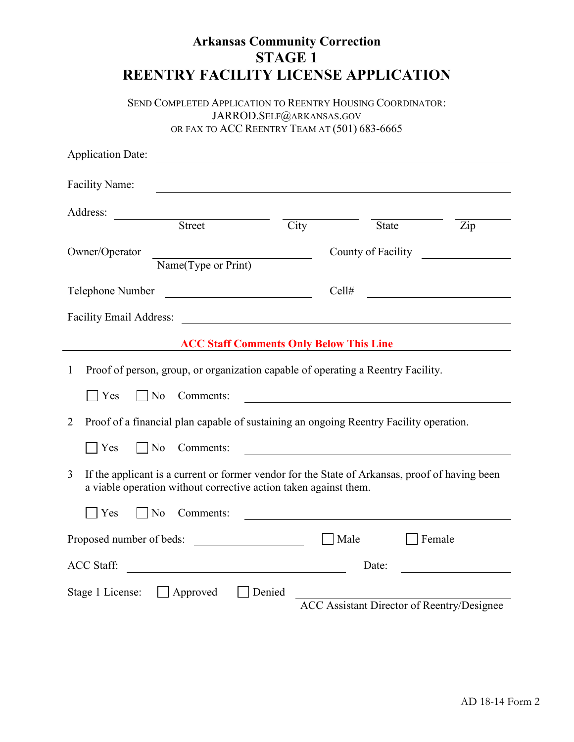| <b>REENTRY FACILITY LICENSE APPLICATION</b>                                                                                                                                                                                        | <b>Arkansas Community Correction</b><br><b>STAGE 1</b>                                                                 |                                                              |                                                   |
|------------------------------------------------------------------------------------------------------------------------------------------------------------------------------------------------------------------------------------|------------------------------------------------------------------------------------------------------------------------|--------------------------------------------------------------|---------------------------------------------------|
| SEND COMPLETED APPLICATION TO REENTRY HOUSING COORDINATOR:                                                                                                                                                                         | JARROD.SELF@ARKANSAS.GOV<br>OR FAX TO ACC REENTRY TEAM AT (501) 683-6665                                               |                                                              |                                                   |
| <b>Application Date:</b>                                                                                                                                                                                                           |                                                                                                                        |                                                              |                                                   |
| Facility Name:                                                                                                                                                                                                                     | <u> 1980 - Johann Barn, mars ann an t-Amhainn an t-Amhainn an t-Amhainn an t-Amhainn an t-Amhainn an t-Amhainn an </u> |                                                              |                                                   |
| Address:                                                                                                                                                                                                                           |                                                                                                                        |                                                              |                                                   |
| Street                                                                                                                                                                                                                             | City                                                                                                                   | State                                                        | $\overline{Zip}$                                  |
| Owner/Operator<br>Name(Type or Print)                                                                                                                                                                                              |                                                                                                                        |                                                              | County of Facility                                |
| Telephone Number                                                                                                                                                                                                                   | <u> 1980 - Johann Barbara, martin d</u>                                                                                | Cell#                                                        |                                                   |
|                                                                                                                                                                                                                                    |                                                                                                                        |                                                              |                                                   |
|                                                                                                                                                                                                                                    | <b>ACC Staff Comments Only Below This Line</b>                                                                         |                                                              |                                                   |
| Proof of person, group, or organization capable of operating a Reentry Facility.<br>$\mathbf{1}$<br> Yes<br>$\vert$ No<br>Comments:<br>Proof of a financial plan capable of sustaining an ongoing Reentry Facility operation.<br>2 |                                                                                                                        |                                                              |                                                   |
| $\Box$ No<br>  Yes<br>Comments:                                                                                                                                                                                                    |                                                                                                                        |                                                              |                                                   |
| 3<br>If the applicant is a current or former vendor for the State of Arkansas, proof of having been<br>a viable operation without corrective action taken against them.                                                            |                                                                                                                        |                                                              |                                                   |
| Yes<br>$\vert$   No<br>Comments:                                                                                                                                                                                                   |                                                                                                                        | <u> 1989 - Johann Barbara, martxa eta idazlea (h. 1989).</u> |                                                   |
| Proposed number of beds:                                                                                                                                                                                                           |                                                                                                                        | Male                                                         | Female                                            |
| <b>ACC Staff:</b>                                                                                                                                                                                                                  |                                                                                                                        | Date:                                                        |                                                   |
| Stage 1 License: Approved                                                                                                                                                                                                          | Denied                                                                                                                 |                                                              | <b>ACC</b> Assistant Director of Reentry/Designee |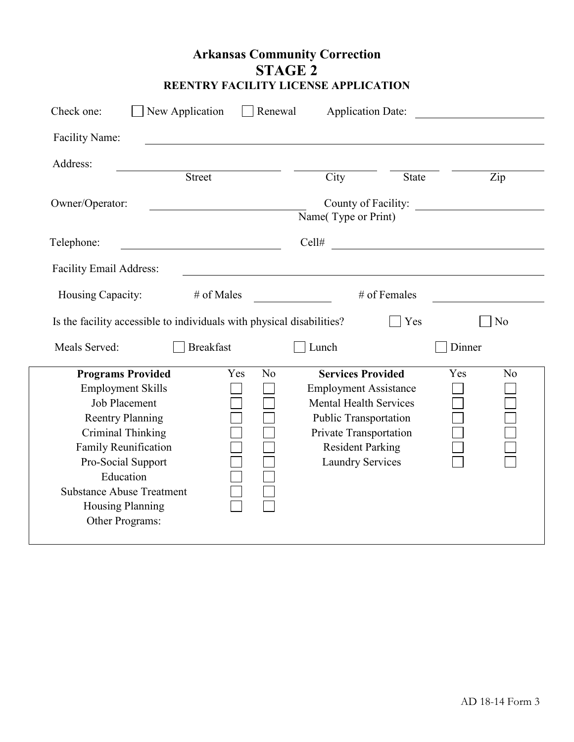| <b>Arkansas Community Correction</b> |  |  |  |  |  |  |
|--------------------------------------|--|--|--|--|--|--|
| STAGE 2                              |  |  |  |  |  |  |
| REENTRY FACILITY LICENSE APPLICATION |  |  |  |  |  |  |

| Check one:                                                                                     | New Application  |            | Renewal                                            |                               | <b>Application Date:</b> |        |                |
|------------------------------------------------------------------------------------------------|------------------|------------|----------------------------------------------------|-------------------------------|--------------------------|--------|----------------|
| Facility Name:                                                                                 |                  |            |                                                    |                               |                          |        |                |
| Address:                                                                                       |                  |            |                                                    |                               |                          |        |                |
|                                                                                                | <b>Street</b>    |            |                                                    | City                          | <b>State</b>             |        | Zip            |
| Owner/Operator:                                                                                |                  |            |                                                    | Name(Type or Print)           | County of Facility:      |        |                |
| Telephone:                                                                                     |                  |            |                                                    | Cell#                         |                          |        |                |
| Facility Email Address:                                                                        |                  |            |                                                    |                               |                          |        |                |
| Housing Capacity:                                                                              |                  | # of Males |                                                    |                               | # of Females             |        |                |
| Is the facility accessible to individuals with physical disabilities?<br>Yes<br>N <sub>o</sub> |                  |            |                                                    |                               |                          |        |                |
| Meals Served:                                                                                  | <b>Breakfast</b> |            |                                                    | Lunch                         |                          | Dinner |                |
| <b>Programs Provided</b>                                                                       |                  | Yes        | N <sub>0</sub>                                     | <b>Services Provided</b>      |                          | Yes    | N <sub>o</sub> |
| <b>Employment Skills</b>                                                                       |                  |            |                                                    | <b>Employment Assistance</b>  |                          |        |                |
| <b>Job Placement</b>                                                                           |                  |            |                                                    | <b>Mental Health Services</b> |                          |        |                |
| <b>Reentry Planning</b>                                                                        |                  |            | Public Transportation                              |                               |                          |        |                |
| <b>Criminal Thinking</b>                                                                       |                  |            |                                                    | Private Transportation        |                          |        |                |
| Family Reunification<br>Pro-Social Support                                                     |                  |            | <b>Resident Parking</b><br><b>Laundry Services</b> |                               |                          |        |                |
| Education                                                                                      |                  |            |                                                    |                               |                          |        |                |
| <b>Substance Abuse Treatment</b>                                                               |                  |            |                                                    |                               |                          |        |                |
| <b>Housing Planning</b>                                                                        |                  |            |                                                    |                               |                          |        |                |
| Other Programs:                                                                                |                  |            |                                                    |                               |                          |        |                |
|                                                                                                |                  |            |                                                    |                               |                          |        |                |